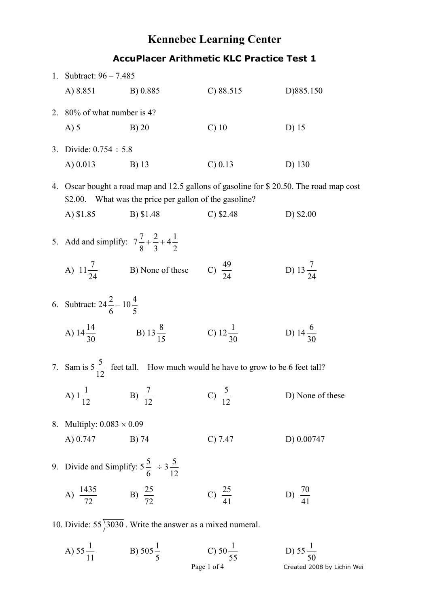## **Kennebec Learning Center AccuPlacer Arithmetic KLC Practice Test 1**

| 1. Subtract: $96 - 7.485$ |                                                                  |                                                              |                                                                                        |                                                                                     |
|---------------------------|------------------------------------------------------------------|--------------------------------------------------------------|----------------------------------------------------------------------------------------|-------------------------------------------------------------------------------------|
|                           | A) 8.851                                                         | B) 0.885                                                     | C) 88.515                                                                              | D)885.150                                                                           |
| 2.                        | 80% of what number is 4?                                         |                                                              |                                                                                        |                                                                                     |
|                           | $A)$ 5                                                           | $B)$ 20                                                      | $C)$ 10                                                                                | D) 15                                                                               |
|                           | 3. Divide: $0.754 \div 5.8$                                      |                                                              |                                                                                        |                                                                                     |
|                           | A $) 0.013$                                                      | B) 13                                                        | $C$ ) 0.13                                                                             | D) 130                                                                              |
| 4.                        | \$2.00.                                                          | What was the price per gallon of the gasoline?               |                                                                                        | Oscar bought a road map and 12.5 gallons of gasoline for \$20.50. The road map cost |
|                           | A) \$1.85                                                        | B) \$1.48                                                    | $C$ ) \$2.48                                                                           | D) \$2.00                                                                           |
|                           | 5. Add and simplify: $7\frac{7}{8} + \frac{2}{3} + 4\frac{1}{2}$ |                                                              |                                                                                        |                                                                                     |
|                           |                                                                  | A) $11\frac{7}{24}$ B) None of these                         | C) $\frac{49}{24}$                                                                     | D) $13\frac{7}{24}$                                                                 |
|                           | 6. Subtract: $24\frac{2}{6} - 10\frac{4}{5}$                     |                                                              |                                                                                        |                                                                                     |
|                           |                                                                  | A) $14\frac{14}{30}$ B) $13\frac{8}{15}$ C) $12\frac{1}{30}$ |                                                                                        | D) 14 $\frac{6}{30}$                                                                |
|                           |                                                                  |                                                              | 7. Sam is $5\frac{5}{12}$ feet tall. How much would he have to grow to be 6 feet tall? |                                                                                     |
|                           |                                                                  | A) $1\frac{1}{12}$ B) $\frac{7}{12}$ C) $\frac{5}{12}$       |                                                                                        | D) None of these                                                                    |
|                           | 8. Multiply: $0.083 \times 0.09$                                 |                                                              |                                                                                        |                                                                                     |
|                           | A) 0.747                                                         | B) 74                                                        | C) 7.47                                                                                | D) 0.00747                                                                          |
|                           | 9. Divide and Simplify: $5\frac{5}{6} \div 3\frac{5}{12}$        |                                                              |                                                                                        |                                                                                     |
|                           | A) $\frac{1435}{72}$                                             | B) $\frac{25}{72}$                                           | C) $\frac{25}{41}$                                                                     | D) $\frac{70}{41}$                                                                  |
|                           |                                                                  |                                                              |                                                                                        |                                                                                     |

10. Divide:  $55\overline{)3030}$ . Write the answer as a mixed numeral.

Page 1 of 4 Created 2008 by Lichin Wei A) 55 11  $\frac{1}{11}$  B) 505 5 1 C) 50 55 1 D) 55 50 1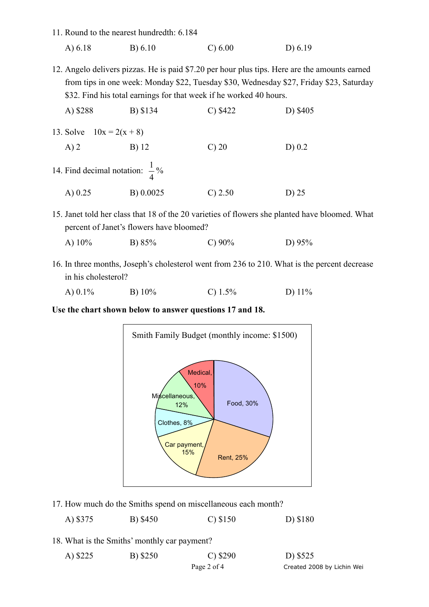- 11. Round to the nearest hundredth: 6.184
	- A) 6.18 B) 6.10 C) 6.00 D) 6.19
- 12. Angelo delivers pizzas. He is paid \$7.20 per hour plus tips. Here are the amounts earned from tips in one week: Monday \$22, Tuesday \$30, Wednesday \$27, Friday \$23, Saturday \$32. Find his total earnings for that week if he worked 40 hours.

| A) \$288                                   | B) \$134  | C) \$422   | D) \$405 |
|--------------------------------------------|-----------|------------|----------|
| 13. Solve $10x = 2(x + 8)$                 |           |            |          |
| $A)$ 2                                     | B) 12     | $\circ$ 20 | $D)$ 0.2 |
| 14. Find decimal notation: $\frac{1}{4}$ % |           |            |          |
| A $) 0.25$                                 | B) 0.0025 | $C$ ) 2.50 | D) 25    |

- 15. Janet told her class that 18 of the 20 varieties of flowers she planted have bloomed. What percent of Janet's flowers have bloomed?
	- A) 10% B) 85% C) 90% D) 95%
- 16. In three months, Joseph's cholesterol went from 236 to 210. What is the percent decrease in his cholesterol?

| A) 0.1% | B) $10\%$ | C) $1.5\%$ | D) $11\%$ |
|---------|-----------|------------|-----------|
|         |           |            |           |

**Use the chart shown below to answer questions 17 and 18.** 



17. How much do the Smiths spend on miscellaneous each month?

| A) \$375 | B) \$450 | $C$ ) \$150 | D) \$180 |
|----------|----------|-------------|----------|
|          |          |             |          |

18. What is the Smiths' monthly car payment?

| A) \$225 | B) \$250 | $C)$ \$290  | D) \$525                   |
|----------|----------|-------------|----------------------------|
|          |          | Page 2 of 4 | Created 2008 by Lichin Wei |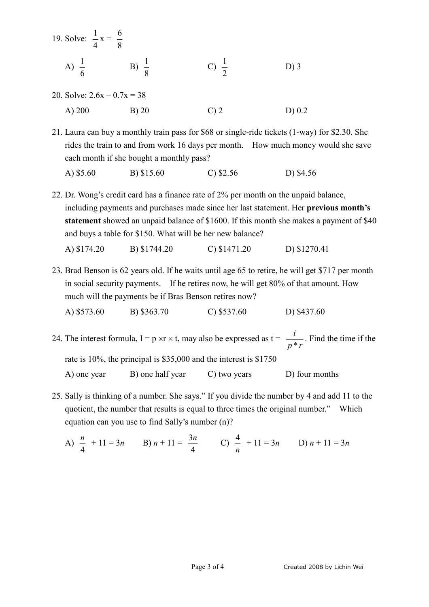| 19. Solve: $\frac{1}{4}x = \frac{6}{8}$ |  |  |
|-----------------------------------------|--|--|
| A)                                      |  |  |
| 20. Solve: $2.6x - 0.7x = 38$           |  |  |

- A) 200 B) 20 C) 2 D) 0.2
- 21. Laura can buy a monthly train pass for \$68 or single-ride tickets (1-way) for \$2.30. She rides the train to and from work 16 days per month. How much money would she save each month if she bought a monthly pass?

A) \$5.60 B) \$15.60 C) \$2.56 D) \$4.56

22. Dr. Wong's credit card has a finance rate of 2% per month on the unpaid balance, including payments and purchases made since her last statement. Her **previous month's statement** showed an unpaid balance of \$1600. If this month she makes a payment of \$40 and buys a table for \$150. What will be her new balance?

A) \$174.20 B) \$1744.20 C) \$1471.20 D) \$1270.41

23. Brad Benson is 62 years old. If he waits until age 65 to retire, he will get \$717 per month in social security payments. If he retires now, he will get 80% of that amount. How much will the payments be if Bras Benson retires now?

```
A) $573.60 B) $363.70 C) $537.60 D) $437.60
```
24. The interest formula,  $I = p \times r \times t$ , may also be expressed as  $t =$ *p r i* \* . Find the time if the rate is 10%, the principal is \$35,000 and the interest is \$1750 A) one year B) one half year C) two years D) four months

- 25. Sally is thinking of a number. She says." If you divide the number by 4 and add 11 to the quotient, the number that results is equal to three times the original number." Which equation can you use to find Sally's number (n)?
	- A) 4  $\frac{n}{4}$  + 11 = 3*n* B) *n* + 11 = 4  $\frac{3n}{2}$  C) *n*  $\frac{4}{-}$  + 11 = 3*n* D) *n* + 11 = 3*n*